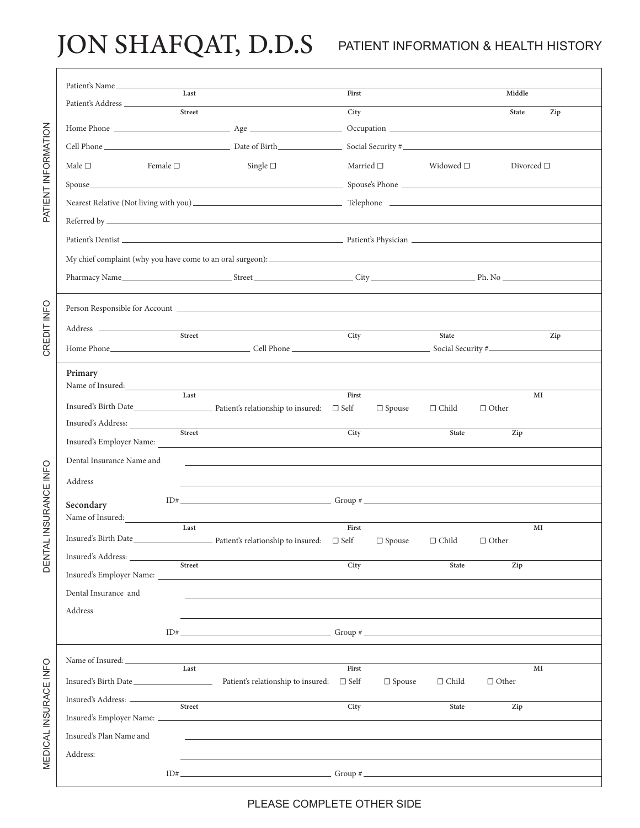## JON SHAFQAT, D.D.S PATIENT INFORMATION & HEALTH HISTORY

|                       | Patient's Name              | Last                      |                                                                                                                                                                                                                                                                                                                                                                                                                                                                                                                                                          | First             |                   |                   | Middle       |                    |  |  |
|-----------------------|-----------------------------|---------------------------|----------------------------------------------------------------------------------------------------------------------------------------------------------------------------------------------------------------------------------------------------------------------------------------------------------------------------------------------------------------------------------------------------------------------------------------------------------------------------------------------------------------------------------------------------------|-------------------|-------------------|-------------------|--------------|--------------------|--|--|
| PATIENT INFORMATION   |                             | Street                    |                                                                                                                                                                                                                                                                                                                                                                                                                                                                                                                                                          |                   |                   |                   |              |                    |  |  |
|                       |                             |                           |                                                                                                                                                                                                                                                                                                                                                                                                                                                                                                                                                          | City              |                   |                   | <b>State</b> | Zip                |  |  |
|                       |                             |                           |                                                                                                                                                                                                                                                                                                                                                                                                                                                                                                                                                          |                   |                   |                   |              |                    |  |  |
|                       |                             |                           |                                                                                                                                                                                                                                                                                                                                                                                                                                                                                                                                                          |                   |                   |                   |              |                    |  |  |
|                       | Male $\square$              | Female $\Box$             | Single $\square$                                                                                                                                                                                                                                                                                                                                                                                                                                                                                                                                         |                   | Married $\square$ | Widowed $\square$ |              | Divorced $\square$ |  |  |
|                       |                             |                           |                                                                                                                                                                                                                                                                                                                                                                                                                                                                                                                                                          |                   |                   |                   |              |                    |  |  |
|                       |                             |                           |                                                                                                                                                                                                                                                                                                                                                                                                                                                                                                                                                          |                   |                   |                   |              |                    |  |  |
|                       |                             |                           |                                                                                                                                                                                                                                                                                                                                                                                                                                                                                                                                                          |                   |                   |                   |              |                    |  |  |
|                       |                             |                           |                                                                                                                                                                                                                                                                                                                                                                                                                                                                                                                                                          |                   |                   |                   |              |                    |  |  |
|                       |                             |                           |                                                                                                                                                                                                                                                                                                                                                                                                                                                                                                                                                          |                   |                   |                   |              |                    |  |  |
|                       |                             |                           |                                                                                                                                                                                                                                                                                                                                                                                                                                                                                                                                                          |                   |                   |                   |              |                    |  |  |
|                       |                             |                           |                                                                                                                                                                                                                                                                                                                                                                                                                                                                                                                                                          |                   |                   |                   |              |                    |  |  |
| CREDIT INFO           |                             |                           |                                                                                                                                                                                                                                                                                                                                                                                                                                                                                                                                                          |                   |                   |                   |              |                    |  |  |
|                       |                             | $\frac{1}{\text{Street}}$ |                                                                                                                                                                                                                                                                                                                                                                                                                                                                                                                                                          | City              |                   |                   |              |                    |  |  |
|                       |                             |                           |                                                                                                                                                                                                                                                                                                                                                                                                                                                                                                                                                          |                   |                   | State             |              | Zip                |  |  |
|                       |                             |                           |                                                                                                                                                                                                                                                                                                                                                                                                                                                                                                                                                          |                   |                   |                   |              |                    |  |  |
|                       | Primary<br>Name of Insured: |                           |                                                                                                                                                                                                                                                                                                                                                                                                                                                                                                                                                          |                   |                   |                   |              |                    |  |  |
|                       |                             | Last                      |                                                                                                                                                                                                                                                                                                                                                                                                                                                                                                                                                          | First             |                   |                   |              | MI                 |  |  |
| E INFO<br>NSURANCI    |                             |                           |                                                                                                                                                                                                                                                                                                                                                                                                                                                                                                                                                          |                   | $\Box$ Spouse     | $\Box$ Child      | $\Box$ Other |                    |  |  |
|                       |                             | Street                    |                                                                                                                                                                                                                                                                                                                                                                                                                                                                                                                                                          | City              |                   | State             | Zip          |                    |  |  |
|                       |                             |                           |                                                                                                                                                                                                                                                                                                                                                                                                                                                                                                                                                          |                   |                   |                   |              |                    |  |  |
|                       | Dental Insurance Name and   |                           |                                                                                                                                                                                                                                                                                                                                                                                                                                                                                                                                                          |                   |                   |                   |              |                    |  |  |
|                       | Address                     |                           |                                                                                                                                                                                                                                                                                                                                                                                                                                                                                                                                                          |                   |                   |                   |              |                    |  |  |
|                       | Secondary                   |                           | $ID#$ Group #                                                                                                                                                                                                                                                                                                                                                                                                                                                                                                                                            |                   |                   |                   |              |                    |  |  |
|                       | Name of Insured:            |                           |                                                                                                                                                                                                                                                                                                                                                                                                                                                                                                                                                          |                   |                   |                   |              |                    |  |  |
|                       |                             | Last                      |                                                                                                                                                                                                                                                                                                                                                                                                                                                                                                                                                          | First             | $\Box$ Spouse     | $\Box$ Child      | $\Box$ Other | MI                 |  |  |
| <b>DENTAL I</b>       |                             |                           |                                                                                                                                                                                                                                                                                                                                                                                                                                                                                                                                                          |                   |                   |                   |              |                    |  |  |
|                       |                             |                           | Insured's Address: <u>Street</u>                                                                                                                                                                                                                                                                                                                                                                                                                                                                                                                         | $\overline{City}$ |                   | State             | Zip          |                    |  |  |
|                       | Dental Insurance and        |                           |                                                                                                                                                                                                                                                                                                                                                                                                                                                                                                                                                          |                   |                   |                   |              |                    |  |  |
|                       | Address                     |                           |                                                                                                                                                                                                                                                                                                                                                                                                                                                                                                                                                          |                   |                   |                   |              |                    |  |  |
|                       |                             |                           | and the control of the control of the control of the control of the control of the control of the control of the                                                                                                                                                                                                                                                                                                                                                                                                                                         |                   |                   |                   |              |                    |  |  |
|                       |                             |                           | $ID#$ Group #                                                                                                                                                                                                                                                                                                                                                                                                                                                                                                                                            |                   |                   |                   |              |                    |  |  |
| MEDICAL INSURACE INFO |                             |                           | Name of Insured: Last                                                                                                                                                                                                                                                                                                                                                                                                                                                                                                                                    |                   |                   |                   |              |                    |  |  |
|                       |                             |                           | $\label{thm:main} \begin{minipage}[t]{0.9\linewidth} \textbf{Answerd's Birth Date}\footnotesize \begin{minipage}[t]{0.9\linewidth} \textbf{Answerd:} \end{minipage} \begin{minipage}[t]{0.9\linewidth} \textbf{Pattern's relationship to insured:} \end{minipage} \begin{minipage}[t]{0.9\linewidth} \textbf{Left} \end{minipage} \begin{minipage}[t]{0.9\linewidth} \textbf{Right} \end{minipage} \begin{minipage}[t]{0.9\linewidth} \textbf{Right} \end{minipage} \begin{minipage}[t]{0.9\linewidth} \textbf{Right} \end{minipage} \begin{minipage}[t$ | First             |                   |                   |              | MI                 |  |  |
|                       |                             |                           |                                                                                                                                                                                                                                                                                                                                                                                                                                                                                                                                                          |                   | $\Box$ Spouse     | $\Box$ Child      | $\Box$ Other |                    |  |  |
|                       |                             |                           | Insured's Address: <u>Street Street Street Street Street Street Street Street Street Street Street Street Street Street Street Street Street Street Street Street Street Street Street Street Street Street Street Street Street</u>                                                                                                                                                                                                                                                                                                                     | City              |                   | State             | Zip          |                    |  |  |
|                       |                             |                           |                                                                                                                                                                                                                                                                                                                                                                                                                                                                                                                                                          |                   |                   |                   |              |                    |  |  |
|                       | Insured's Plan Name and     |                           | <u>and the second control of the second control of the second control of the second control of the second control of the second control of the second control of the second control of the second control of the second control </u>                                                                                                                                                                                                                                                                                                                     |                   |                   |                   |              |                    |  |  |
|                       | Address:                    |                           |                                                                                                                                                                                                                                                                                                                                                                                                                                                                                                                                                          |                   |                   |                   |              |                    |  |  |
|                       |                             |                           | $ID#$ $Group #$ $Group$                                                                                                                                                                                                                                                                                                                                                                                                                                                                                                                                  |                   |                   |                   |              |                    |  |  |

PLEASE COMPLETE OTHER SIDE